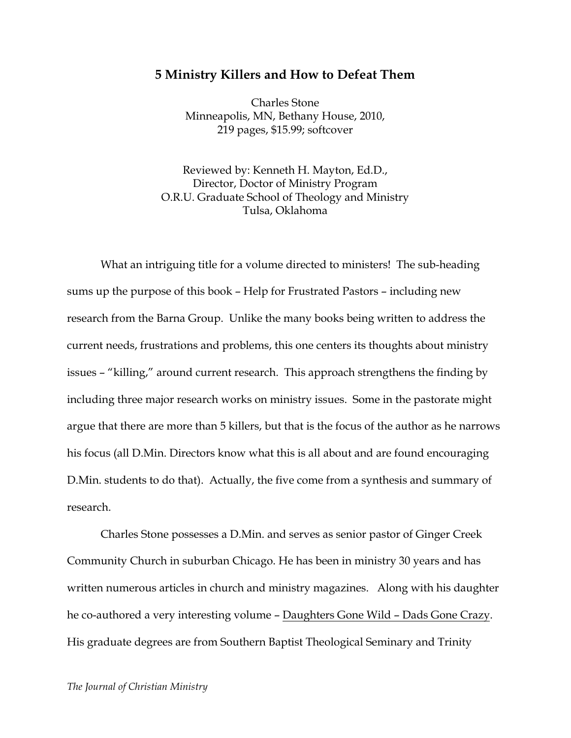## **5 Ministry Killers and How to Defeat Them**

Charles Stone Minneapolis, MN, Bethany House, 2010, 219 pages, \$15.99; softcover

Reviewed by: Kenneth H. Mayton, Ed.D., Director, Doctor of Ministry Program O.R.U. Graduate School of Theology and Ministry Tulsa, Oklahoma

What an intriguing title for a volume directed to ministers! The sub-heading sums up the purpose of this book – Help for Frustrated Pastors – including new research from the Barna Group. Unlike the many books being written to address the current needs, frustrations and problems, this one centers its thoughts about ministry issues – "killing," around current research. This approach strengthens the finding by including three major research works on ministry issues. Some in the pastorate might argue that there are more than 5 killers, but that is the focus of the author as he narrows his focus (all D.Min. Directors know what this is all about and are found encouraging D.Min. students to do that). Actually, the five come from a synthesis and summary of research.

Charles Stone possesses a D.Min. and serves as senior pastor of Ginger Creek Community Church in suburban Chicago. He has been in ministry 30 years and has written numerous articles in church and ministry magazines. Along with his daughter he co-authored a very interesting volume – Daughters Gone Wild – Dads Gone Crazy. His graduate degrees are from Southern Baptist Theological Seminary and Trinity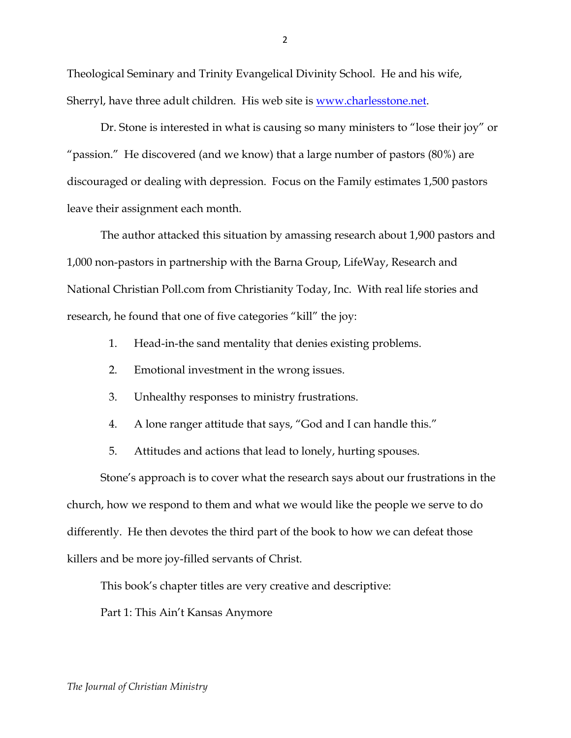Theological Seminary and Trinity Evangelical Divinity School. He and his wife, Sherryl, have three adult children. His web site is www.charlesstone.net.

Dr. Stone is interested in what is causing so many ministers to "lose their joy" or "passion." He discovered (and we know) that a large number of pastors (80%) are discouraged or dealing with depression. Focus on the Family estimates 1,500 pastors leave their assignment each month.

The author attacked this situation by amassing research about 1,900 pastors and 1,000 non-pastors in partnership with the Barna Group, LifeWay, Research and National Christian Poll.com from Christianity Today, Inc. With real life stories and research, he found that one of five categories "kill" the joy:

- 1. Head-in-the sand mentality that denies existing problems.
- 2. Emotional investment in the wrong issues.
- 3. Unhealthy responses to ministry frustrations.
- 4. A lone ranger attitude that says, "God and I can handle this."
- 5. Attitudes and actions that lead to lonely, hurting spouses.

Stone's approach is to cover what the research says about our frustrations in the church, how we respond to them and what we would like the people we serve to do differently. He then devotes the third part of the book to how we can defeat those killers and be more joy-filled servants of Christ.

This book's chapter titles are very creative and descriptive:

Part 1: This Ain't Kansas Anymore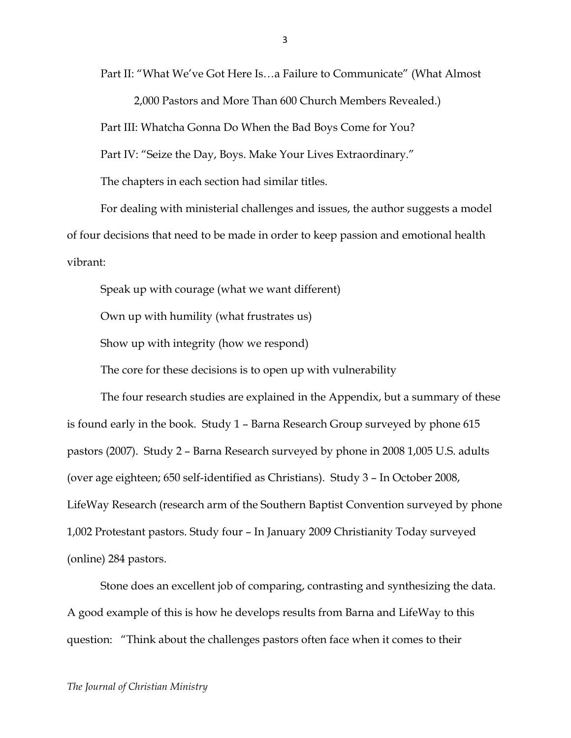Part II: "What We've Got Here Is…a Failure to Communicate" (What Almost

2,000 Pastors and More Than 600 Church Members Revealed.)

Part III: Whatcha Gonna Do When the Bad Boys Come for You?

Part IV: "Seize the Day, Boys. Make Your Lives Extraordinary."

The chapters in each section had similar titles.

For dealing with ministerial challenges and issues, the author suggests a model of four decisions that need to be made in order to keep passion and emotional health vibrant:

Speak up with courage (what we want different)

Own up with humility (what frustrates us)

Show up with integrity (how we respond)

The core for these decisions is to open up with vulnerability

The four research studies are explained in the Appendix, but a summary of these is found early in the book. Study 1 – Barna Research Group surveyed by phone 615 pastors (2007). Study 2 – Barna Research surveyed by phone in 2008 1,005 U.S. adults (over age eighteen; 650 self-identified as Christians). Study 3 – In October 2008, LifeWay Research (research arm of the Southern Baptist Convention surveyed by phone 1,002 Protestant pastors. Study four – In January 2009 Christianity Today surveyed (online) 284 pastors.

Stone does an excellent job of comparing, contrasting and synthesizing the data. A good example of this is how he develops results from Barna and LifeWay to this question: "Think about the challenges pastors often face when it comes to their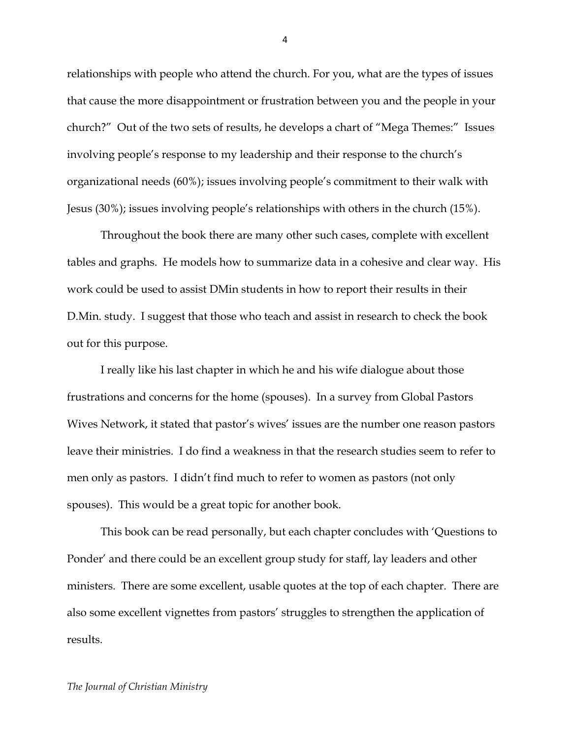relationships with people who attend the church. For you, what are the types of issues that cause the more disappointment or frustration between you and the people in your church?" Out of the two sets of results, he develops a chart of "Mega Themes:" Issues involving people's response to my leadership and their response to the church's organizational needs (60%); issues involving people's commitment to their walk with Jesus (30%); issues involving people's relationships with others in the church (15%).

Throughout the book there are many other such cases, complete with excellent tables and graphs. He models how to summarize data in a cohesive and clear way. His work could be used to assist DMin students in how to report their results in their D.Min. study. I suggest that those who teach and assist in research to check the book out for this purpose.

I really like his last chapter in which he and his wife dialogue about those frustrations and concerns for the home (spouses). In a survey from Global Pastors Wives Network, it stated that pastor's wives' issues are the number one reason pastors leave their ministries. I do find a weakness in that the research studies seem to refer to men only as pastors. I didn't find much to refer to women as pastors (not only spouses). This would be a great topic for another book.

This book can be read personally, but each chapter concludes with 'Questions to Ponder' and there could be an excellent group study for staff, lay leaders and other ministers. There are some excellent, usable quotes at the top of each chapter. There are also some excellent vignettes from pastors' struggles to strengthen the application of results.

4